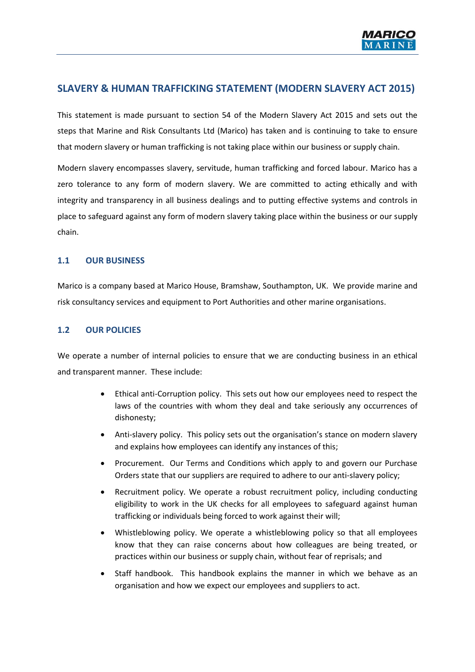

# **SLAVERY & HUMAN TRAFFICKING STATEMENT (MODERN SLAVERY ACT 2015)**

This statement is made pursuant to section 54 of the Modern Slavery Act 2015 and sets out the steps that Marine and Risk Consultants Ltd (Marico) has taken and is continuing to take to ensure that modern slavery or human trafficking is not taking place within our business or supply chain.

Modern slavery encompasses slavery, servitude, human trafficking and forced labour. Marico has a zero tolerance to any form of modern slavery. We are committed to acting ethically and with integrity and transparency in all business dealings and to putting effective systems and controls in place to safeguard against any form of modern slavery taking place within the business or our supply chain.

#### **1.1 OUR BUSINESS**

Marico is a company based at Marico House, Bramshaw, Southampton, UK. We provide marine and risk consultancy services and equipment to Port Authorities and other marine organisations.

## **1.2 OUR POLICIES**

We operate a number of internal policies to ensure that we are conducting business in an ethical and transparent manner. These include:

- Ethical anti-Corruption policy. This sets out how our employees need to respect the laws of the countries with whom they deal and take seriously any occurrences of dishonesty;
- Anti-slavery policy. This policy sets out the organisation's stance on modern slavery and explains how employees can identify any instances of this;
- Procurement. Our Terms and Conditions which apply to and govern our Purchase Orders state that our suppliers are required to adhere to our anti-slavery policy;
- Recruitment policy. We operate a robust recruitment policy, including conducting eligibility to work in the UK checks for all employees to safeguard against human trafficking or individuals being forced to work against their will;
- Whistleblowing policy. We operate a whistleblowing policy so that all employees know that they can raise concerns about how colleagues are being treated, or practices within our business or supply chain, without fear of reprisals; and
- Staff handbook. This handbook explains the manner in which we behave as an organisation and how we expect our employees and suppliers to act.